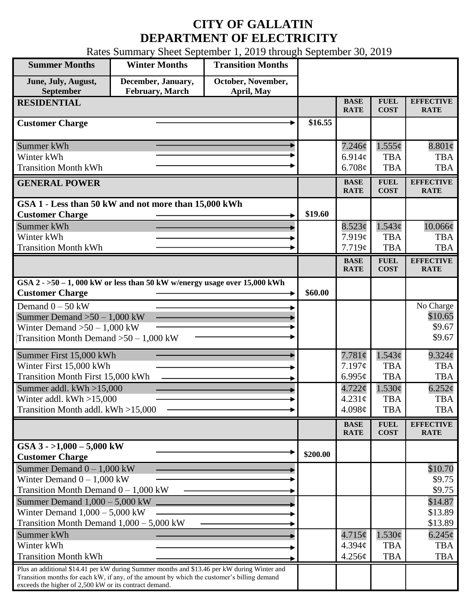## **CITY OF GALLATIN DEPARTMENT OF ELECTRICITY**

Rates Summary Sheet September 1, 2019 through September 30, 2019

| <b>Summer Months</b>                                                                                                                                                                                                                                 | <b>Winter Months</b>                                                        | <b>Transition Months</b>         |          |                                 |                            |                                 |
|------------------------------------------------------------------------------------------------------------------------------------------------------------------------------------------------------------------------------------------------------|-----------------------------------------------------------------------------|----------------------------------|----------|---------------------------------|----------------------------|---------------------------------|
| June, July, August,<br>September                                                                                                                                                                                                                     | December, January,<br><b>February, March</b>                                | October, November,<br>April, May |          |                                 |                            |                                 |
| <b>RESIDENTIAL</b>                                                                                                                                                                                                                                   |                                                                             |                                  |          | <b>BASE</b><br><b>RATE</b>      | <b>FUEL</b><br><b>COST</b> | <b>EFFECTIVE</b><br><b>RATE</b> |
| <b>Customer Charge</b>                                                                                                                                                                                                                               |                                                                             |                                  | \$16.55  |                                 |                            |                                 |
| Summer kWh                                                                                                                                                                                                                                           |                                                                             |                                  |          | 7.246¢                          | $1.555\phi$                | $8.801\phi$                     |
| Winter kWh                                                                                                                                                                                                                                           |                                                                             |                                  |          | 6.914c                          | <b>TBA</b>                 | <b>TBA</b>                      |
| <b>Transition Month kWh</b>                                                                                                                                                                                                                          |                                                                             |                                  |          | 6.708¢                          | <b>TBA</b>                 | <b>TBA</b>                      |
| <b>GENERAL POWER</b>                                                                                                                                                                                                                                 |                                                                             |                                  |          | <b>BASE</b><br><b>RATE</b>      | <b>FUEL</b><br><b>COST</b> | <b>EFFECTIVE</b><br><b>RATE</b> |
|                                                                                                                                                                                                                                                      | GSA 1 - Less than 50 kW and not more than 15,000 kWh                        |                                  |          |                                 |                            |                                 |
| <b>Customer Charge</b>                                                                                                                                                                                                                               |                                                                             |                                  | \$19.60  |                                 |                            |                                 |
| Summer kWh<br>Winter kWh                                                                                                                                                                                                                             |                                                                             |                                  |          | 8.523¢<br>7.919c                | 1.543¢<br><b>TBA</b>       | 10.066¢<br><b>TBA</b>           |
| <b>Transition Month kWh</b>                                                                                                                                                                                                                          |                                                                             |                                  |          | 7.719¢                          | <b>TBA</b>                 | <b>TBA</b>                      |
|                                                                                                                                                                                                                                                      |                                                                             |                                  |          | <b>BASE</b>                     | <b>FUEL</b>                | <b>EFFECTIVE</b>                |
|                                                                                                                                                                                                                                                      |                                                                             |                                  |          | <b>RATE</b>                     | <b>COST</b>                | <b>RATE</b>                     |
| <b>Customer Charge</b>                                                                                                                                                                                                                               | GSA $2 - 50 - 1$ , 000 kW or less than 50 kW w/energy usage over 15,000 kWh |                                  | \$60.00  |                                 |                            |                                 |
| Demand $0 - 50$ kW                                                                                                                                                                                                                                   |                                                                             |                                  |          |                                 |                            | No Charge                       |
| Summer Demand $>50 - 1,000$ kW                                                                                                                                                                                                                       |                                                                             |                                  |          |                                 |                            | \$10.65                         |
| Winter Demand $>50-1,000$ kW                                                                                                                                                                                                                         |                                                                             |                                  |          |                                 |                            | \$9.67                          |
| Transition Month Demand $>50-1,000$ kW                                                                                                                                                                                                               |                                                                             |                                  |          |                                 |                            | \$9.67                          |
| Summer First 15,000 kWh                                                                                                                                                                                                                              |                                                                             |                                  |          | $7.781\phi$                     | 1.543¢                     | $9.324\phi$                     |
| Winter First 15,000 kWh                                                                                                                                                                                                                              |                                                                             |                                  |          | 7.197¢                          | <b>TBA</b>                 | <b>TBA</b>                      |
| Transition Month First 15,000 kWh                                                                                                                                                                                                                    |                                                                             |                                  |          | 6.995 $\mathfrak{c}$            | <b>TBA</b>                 | <b>TBA</b>                      |
| Summer addl. $kWh > 15,000$                                                                                                                                                                                                                          |                                                                             |                                  |          | $4.722 \phi$<br>$4.231\text{¢}$ | 1.530¢<br><b>TBA</b>       | $6.252\phi$<br><b>TBA</b>       |
| Winter addl. $kWh > 15,000$<br>Transition Month addl. kWh >15,000                                                                                                                                                                                    |                                                                             |                                  |          | 4.098 $\phi$                    | <b>TBA</b>                 | <b>TBA</b>                      |
|                                                                                                                                                                                                                                                      |                                                                             |                                  |          |                                 | <b>FUEL</b>                | <b>EFFECTIVE</b>                |
|                                                                                                                                                                                                                                                      |                                                                             |                                  |          | <b>BASE</b><br><b>RATE</b>      | <b>COST</b>                | <b>RATE</b>                     |
| GSA $3 - 1,000 - 5,000$ kW<br><b>Customer Charge</b>                                                                                                                                                                                                 |                                                                             |                                  | \$200.00 |                                 |                            |                                 |
| Summer Demand $0 - 1,000$ kW                                                                                                                                                                                                                         |                                                                             |                                  |          |                                 |                            | \$10.70                         |
| Winter Demand $0 - 1,000$ kW                                                                                                                                                                                                                         |                                                                             |                                  |          |                                 |                            | \$9.75                          |
| Transition Month Demand $0 - 1,000$ kW                                                                                                                                                                                                               |                                                                             |                                  |          |                                 |                            | \$9.75                          |
| Summer Demand $1,000 - 5,000$ kW                                                                                                                                                                                                                     |                                                                             |                                  |          |                                 |                            | \$14.87                         |
| Winter Demand $1,000 - 5,000$ kW<br>Transition Month Demand $1,000 - 5,000$ kW                                                                                                                                                                       |                                                                             |                                  |          |                                 |                            | \$13.89<br>\$13.89              |
| Summer kWh                                                                                                                                                                                                                                           |                                                                             |                                  |          | $4.715\phi$                     | 1.530¢                     | $6.245\phi$                     |
| Winter kWh                                                                                                                                                                                                                                           |                                                                             |                                  |          | 4.394c                          | <b>TBA</b>                 | <b>TBA</b>                      |
| <b>Transition Month kWh</b>                                                                                                                                                                                                                          |                                                                             |                                  |          | 4.256¢                          | <b>TBA</b>                 | <b>TBA</b>                      |
| Plus an additional \$14.41 per kW during Summer months and \$13.46 per kW during Winter and<br>Transition months for each kW, if any, of the amount by which the customer's billing demand<br>exceeds the higher of 2,500 kW or its contract demand. |                                                                             |                                  |          |                                 |                            |                                 |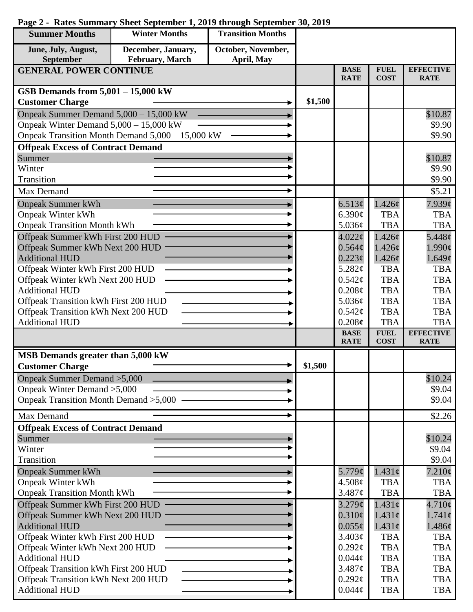| <b>Summer Months</b>                                                        | <b>Winter Months</b>                             | <b>Transition Months</b> |         |                                       |                            |                                 |
|-----------------------------------------------------------------------------|--------------------------------------------------|--------------------------|---------|---------------------------------------|----------------------------|---------------------------------|
| June, July, August,                                                         | December, January,                               | October, November,       |         |                                       |                            |                                 |
| September                                                                   | <b>February</b> , March                          | April, May               |         |                                       |                            |                                 |
| <b>GENERAL POWER CONTINUE</b>                                               |                                                  |                          |         | <b>BASE</b><br><b>RATE</b>            | <b>FUEL</b><br><b>COST</b> | <b>EFFECTIVE</b><br><b>RATE</b> |
| GSB Demands from 5,001 - 15,000 kW                                          |                                                  |                          |         |                                       |                            |                                 |
| <b>Customer Charge</b>                                                      |                                                  |                          | \$1,500 |                                       |                            |                                 |
| Onpeak Summer Demand 5,000 - 15,000 kW                                      |                                                  |                          |         |                                       |                            | \$10.87                         |
| Onpeak Winter Demand $5,000 - 15,000$ kW                                    |                                                  |                          |         |                                       |                            | \$9.90                          |
|                                                                             | Onpeak Transition Month Demand 5,000 - 15,000 kW |                          |         |                                       |                            | \$9.90                          |
| <b>Offpeak Excess of Contract Demand</b>                                    |                                                  |                          |         |                                       |                            |                                 |
| Summer                                                                      |                                                  |                          |         |                                       |                            | \$10.87                         |
| Winter                                                                      |                                                  |                          |         |                                       |                            | \$9.90                          |
| Transition                                                                  |                                                  |                          |         |                                       |                            | \$9.90                          |
| <b>Max Demand</b>                                                           |                                                  |                          |         |                                       |                            | \$5.21                          |
| <b>Onpeak Summer kWh</b>                                                    |                                                  |                          |         | 6.513¢                                | $1.426\phi$                | $7.939$ ¢                       |
| <b>Onpeak Winter kWh</b>                                                    |                                                  |                          |         | 6.390c                                | <b>TBA</b>                 | <b>TBA</b>                      |
| <b>Onpeak Transition Month kWh</b>                                          |                                                  |                          |         | 5.036¢                                | <b>TBA</b>                 | <b>TBA</b>                      |
| Offpeak Summer kWh First 200 HUD                                            |                                                  |                          |         | $4.022\epsilon$                       | 1.426¢<br>1.426c           | $5.448\mathcal{C}$              |
| Offpeak Summer kWh Next 200 HUD<br><b>Additional HUD</b>                    |                                                  |                          |         | $0.564\mathcal{C}$<br>$0.223\epsilon$ | 1.426¢                     | $1.990\mathrm{\c{c}}$<br>1.649¢ |
| Offpeak Winter kWh First 200 HUD                                            |                                                  |                          |         | 5.282¢                                | <b>TBA</b>                 | <b>TBA</b>                      |
| Offpeak Winter kWh Next 200 HUD                                             |                                                  |                          |         | 0.542¢                                | <b>TBA</b>                 | <b>TBA</b>                      |
| <b>Additional HUD</b>                                                       |                                                  |                          |         | 0.208¢                                | <b>TBA</b>                 | <b>TBA</b>                      |
| Offpeak Transition kWh First 200 HUD                                        |                                                  |                          |         | 5.036¢                                | <b>TBA</b>                 | <b>TBA</b>                      |
| Offpeak Transition kWh Next 200 HUD                                         |                                                  |                          |         | 0.542¢                                | <b>TBA</b>                 | <b>TBA</b>                      |
| <b>Additional HUD</b>                                                       |                                                  |                          |         | 0.208c                                | <b>TBA</b>                 | <b>TBA</b>                      |
|                                                                             |                                                  |                          |         | <b>BASE</b><br><b>RATE</b>            | <b>FUEL</b><br><b>COST</b> | <b>EFFECTIVE</b><br><b>RATE</b> |
| MSB Demands greater than 5,000 kW                                           |                                                  |                          |         |                                       |                            |                                 |
| <b>Customer Charge</b>                                                      |                                                  |                          | \$1,500 |                                       |                            |                                 |
| Onpeak Summer Demand > 5,000                                                |                                                  |                          |         |                                       |                            | \$10.24                         |
| Onpeak Winter Demand > 5,000                                                |                                                  |                          |         |                                       |                            | \$9.04                          |
| Onpeak Transition Month Demand > 5,000                                      |                                                  |                          |         |                                       |                            | \$9.04                          |
| <b>Max Demand</b>                                                           |                                                  |                          |         |                                       |                            |                                 |
|                                                                             |                                                  |                          |         |                                       |                            | \$2.26                          |
| <b>Offpeak Excess of Contract Demand</b><br>Summer                          |                                                  |                          |         |                                       |                            |                                 |
| Winter                                                                      |                                                  |                          |         |                                       |                            | \$10.24<br>\$9.04               |
| Transition                                                                  |                                                  |                          |         |                                       |                            | \$9.04                          |
| <b>Onpeak Summer kWh</b>                                                    |                                                  |                          |         | 5.779¢                                | $1.431\phi$                | $7.210\phi$                     |
| <b>Onpeak Winter kWh</b>                                                    |                                                  |                          |         | 4.508¢                                | <b>TBA</b>                 | <b>TBA</b>                      |
| <b>Onpeak Transition Month kWh</b>                                          |                                                  |                          |         | 3.487¢                                | <b>TBA</b>                 | <b>TBA</b>                      |
| Offpeak Summer kWh First 200 HUD                                            |                                                  |                          |         | $3.279$ ¢                             | $1.431\phi$                | $4.710\phi$                     |
| Offpeak Summer kWh Next 200 HUD                                             |                                                  |                          |         | $0.310\phi$                           | $1.431\phi$                | $1.741\phi$                     |
| <b>Additional HUD</b>                                                       |                                                  |                          |         | $0.055\phi$                           | $1.431\phi$                | 1.486¢                          |
| Offpeak Winter kWh First 200 HUD                                            |                                                  |                          |         | 3.403¢                                | <b>TBA</b>                 | <b>TBA</b>                      |
| Offpeak Winter kWh Next 200 HUD                                             |                                                  |                          |         | $0.292\mathcal{C}$                    | <b>TBA</b>                 | <b>TBA</b>                      |
| <b>Additional HUD</b>                                                       |                                                  |                          |         | $0.044\phi$                           | <b>TBA</b>                 | <b>TBA</b>                      |
| Offpeak Transition kWh First 200 HUD<br>Offpeak Transition kWh Next 200 HUD |                                                  |                          |         | 3.487¢                                | <b>TBA</b>                 | <b>TBA</b>                      |
|                                                                             |                                                  |                          |         | $0.292\ell$                           | <b>TBA</b>                 | <b>TBA</b>                      |
| <b>Additional HUD</b>                                                       |                                                  |                          |         | $0.044\phi$                           | <b>TBA</b>                 | <b>TBA</b>                      |

## **Page 2 - Rates Summary Sheet September 1, 2019 through September 30, 2019**